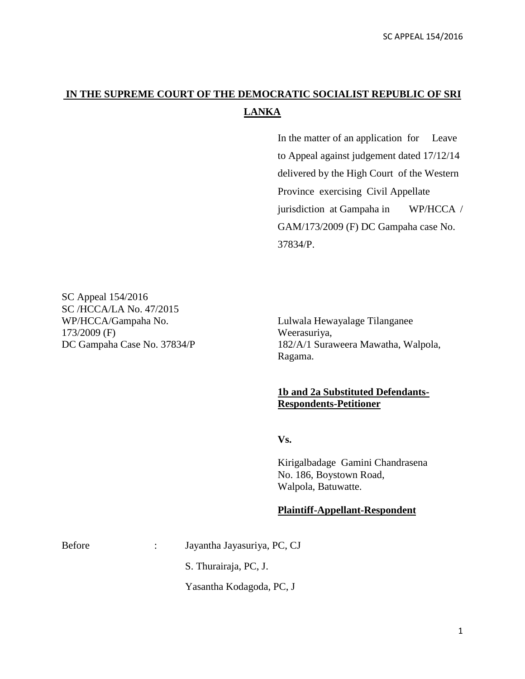## **IN THE SUPREME COURT OF THE DEMOCRATIC SOCIALIST REPUBLIC OF SRI LANKA**

In the matter of an application for Leave to Appeal against judgement dated 17/12/14 delivered by the High Court of the Western Province exercising Civil Appellate jurisdiction at Gampaha in WP/HCCA / GAM/173/2009 (F) DC Gampaha case No. 37834/P.

SC Appeal 154/2016 SC /HCCA/LA No. 47/2015 WP/HCCA/Gampaha No. Lulwala Hewayalage Tilanganee 173/2009 (F) Weerasuriya,

DC Gampaha Case No. 37834/P 182/A/1 Suraweera Mawatha, Walpola, Ragama.

## **1b and 2a Substituted Defendants-Respondents-Petitioner**

**Vs.**

Kirigalbadage Gamini Chandrasena No. 186, Boystown Road, Walpola, Batuwatte.

## **Plaintiff-Appellant-Respondent**

Before : Jayantha Jayasuriya, PC, CJ

S. Thurairaja, PC, J.

Yasantha Kodagoda, PC, J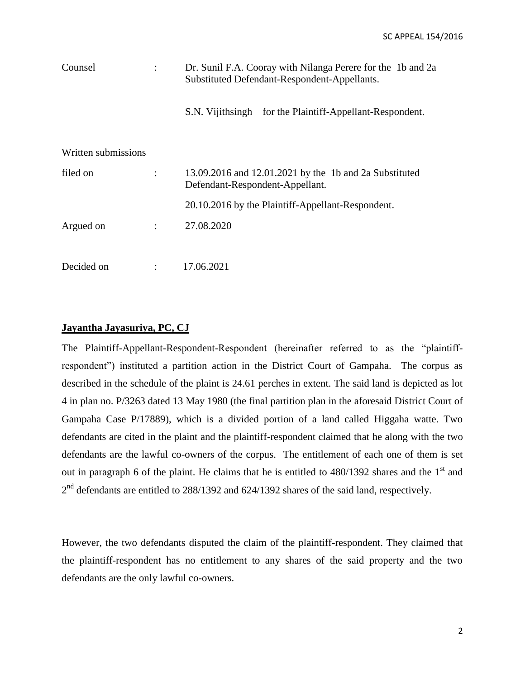| Counsel             | Dr. Sunil F.A. Cooray with Nilanga Perere for the 1b and 2a<br>Substituted Defendant-Respondent-Appellants. |
|---------------------|-------------------------------------------------------------------------------------------------------------|
|                     | S.N. Vijithsingh for the Plaintiff-Appellant-Respondent.                                                    |
| Written submissions |                                                                                                             |
| filed on            | 13.09.2016 and 12.01.2021 by the 1b and 2a Substituted<br>Defendant-Respondent-Appellant.                   |
|                     | 20.10.2016 by the Plaintiff-Appellant-Respondent.                                                           |
| Argued on           | 27.08.2020                                                                                                  |
|                     |                                                                                                             |
| Decided on          | 17.06.2021                                                                                                  |

## **Jayantha Jayasuriya, PC, CJ**

The Plaintiff-Appellant-Respondent-Respondent (hereinafter referred to as the "plaintiffrespondent") instituted a partition action in the District Court of Gampaha. The corpus as described in the schedule of the plaint is 24.61 perches in extent. The said land is depicted as lot 4 in plan no. P/3263 dated 13 May 1980 (the final partition plan in the aforesaid District Court of Gampaha Case P/17889), which is a divided portion of a land called Higgaha watte. Two defendants are cited in the plaint and the plaintiff-respondent claimed that he along with the two defendants are the lawful co-owners of the corpus. The entitlement of each one of them is set out in paragraph 6 of the plaint. He claims that he is entitled to  $480/1392$  shares and the 1<sup>st</sup> and  $2<sup>nd</sup>$  defendants are entitled to 288/1392 and 624/1392 shares of the said land, respectively.

However, the two defendants disputed the claim of the plaintiff-respondent. They claimed that the plaintiff-respondent has no entitlement to any shares of the said property and the two defendants are the only lawful co-owners.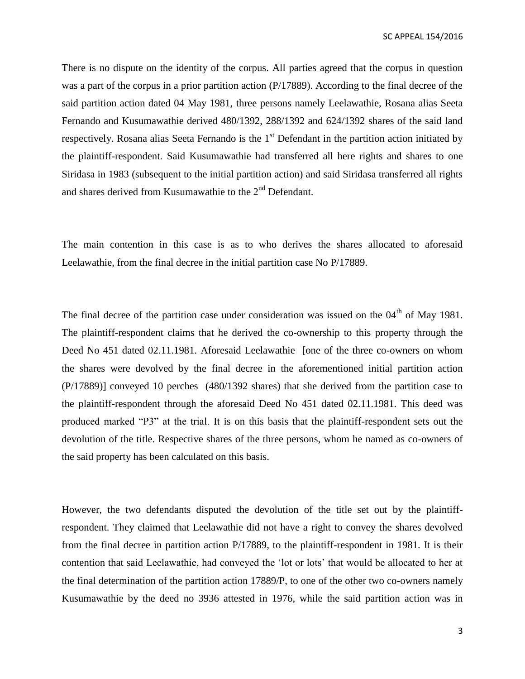There is no dispute on the identity of the corpus. All parties agreed that the corpus in question was a part of the corpus in a prior partition action (P/17889). According to the final decree of the said partition action dated 04 May 1981, three persons namely Leelawathie, Rosana alias Seeta Fernando and Kusumawathie derived 480/1392, 288/1392 and 624/1392 shares of the said land respectively. Rosana alias Seeta Fernando is the  $1<sup>st</sup>$  Defendant in the partition action initiated by the plaintiff-respondent. Said Kusumawathie had transferred all here rights and shares to one Siridasa in 1983 (subsequent to the initial partition action) and said Siridasa transferred all rights and shares derived from Kusumawathie to the 2nd Defendant.

The main contention in this case is as to who derives the shares allocated to aforesaid Leelawathie, from the final decree in the initial partition case No P/17889.

The final decree of the partition case under consideration was issued on the  $04<sup>th</sup>$  of May 1981. The plaintiff-respondent claims that he derived the co-ownership to this property through the Deed No 451 dated 02.11.1981. Aforesaid Leelawathie [one of the three co-owners on whom the shares were devolved by the final decree in the aforementioned initial partition action (P/17889)] conveyed 10 perches (480/1392 shares) that she derived from the partition case to the plaintiff-respondent through the aforesaid Deed No 451 dated 02.11.1981. This deed was produced marked "P3" at the trial. It is on this basis that the plaintiff-respondent sets out the devolution of the title. Respective shares of the three persons, whom he named as co-owners of the said property has been calculated on this basis.

However, the two defendants disputed the devolution of the title set out by the plaintiffrespondent. They claimed that Leelawathie did not have a right to convey the shares devolved from the final decree in partition action P/17889, to the plaintiff-respondent in 1981. It is their contention that said Leelawathie, had conveyed the 'lot or lots' that would be allocated to her at the final determination of the partition action 17889/P, to one of the other two co-owners namely Kusumawathie by the deed no 3936 attested in 1976, while the said partition action was in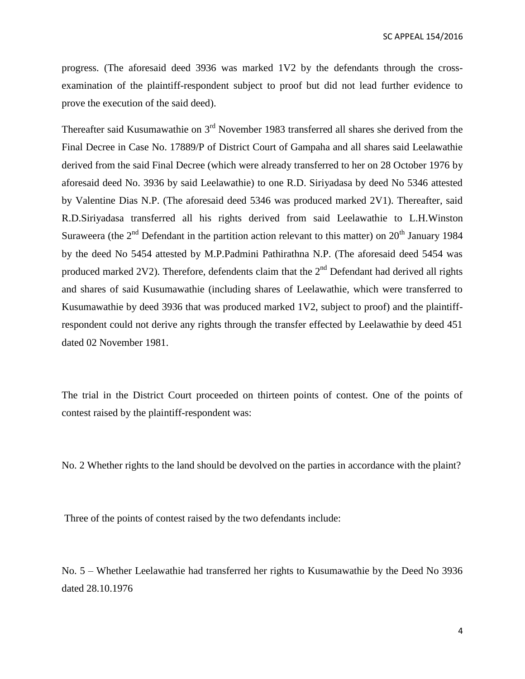progress. (The aforesaid deed 3936 was marked 1V2 by the defendants through the crossexamination of the plaintiff-respondent subject to proof but did not lead further evidence to prove the execution of the said deed).

Thereafter said Kusumawathie on  $3<sup>rd</sup>$  November 1983 transferred all shares she derived from the Final Decree in Case No. 17889/P of District Court of Gampaha and all shares said Leelawathie derived from the said Final Decree (which were already transferred to her on 28 October 1976 by aforesaid deed No. 3936 by said Leelawathie) to one R.D. Siriyadasa by deed No 5346 attested by Valentine Dias N.P. (The aforesaid deed 5346 was produced marked 2V1). Thereafter, said R.D.Siriyadasa transferred all his rights derived from said Leelawathie to L.H.Winston Suraweera (the  $2<sup>nd</sup>$  Defendant in the partition action relevant to this matter) on  $20<sup>th</sup>$  January 1984 by the deed No 5454 attested by M.P.Padmini Pathirathna N.P. (The aforesaid deed 5454 was produced marked 2V2). Therefore, defendents claim that the  $2<sup>nd</sup>$  Defendant had derived all rights and shares of said Kusumawathie (including shares of Leelawathie, which were transferred to Kusumawathie by deed 3936 that was produced marked 1V2, subject to proof) and the plaintiffrespondent could not derive any rights through the transfer effected by Leelawathie by deed 451 dated 02 November 1981.

The trial in the District Court proceeded on thirteen points of contest. One of the points of contest raised by the plaintiff-respondent was:

No. 2 Whether rights to the land should be devolved on the parties in accordance with the plaint?

Three of the points of contest raised by the two defendants include:

No. 5 – Whether Leelawathie had transferred her rights to Kusumawathie by the Deed No 3936 dated 28.10.1976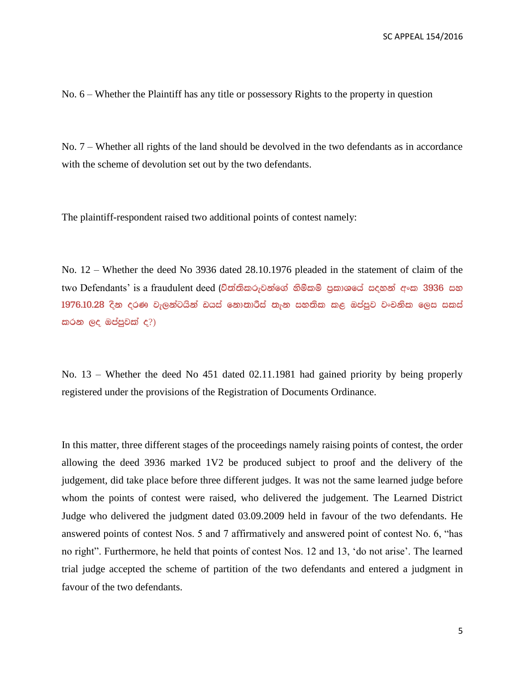No. 6 – Whether the Plaintiff has any title or possessory Rights to the property in question

No. 7 – Whether all rights of the land should be devolved in the two defendants as in accordance with the scheme of devolution set out by the two defendants.

The plaintiff-respondent raised two additional points of contest namely:

No. 12 – Whether the deed No 3936 dated 28.10.1976 pleaded in the statement of claim of the two Defendants' is a fraudulent deed (චිත්තිකරුවන්ගේ හිමිකම් පුකාශයේ සදහන් අංක 3936 සහ  $1976.10.28$  දින දරණ වැලන්ටයින් ඩයස් නොතාරීස් තැන සහතික කළ ඔප්පුව වංචනික ලෙස සකස් කරන ලද ඔප්පුවක් ද $?$ )

No. 13 – Whether the deed No 451 dated 02.11.1981 had gained priority by being properly registered under the provisions of the Registration of Documents Ordinance.

In this matter, three different stages of the proceedings namely raising points of contest, the order allowing the deed 3936 marked 1V2 be produced subject to proof and the delivery of the judgement, did take place before three different judges. It was not the same learned judge before whom the points of contest were raised, who delivered the judgement. The Learned District Judge who delivered the judgment dated 03.09.2009 held in favour of the two defendants. He answered points of contest Nos. 5 and 7 affirmatively and answered point of contest No. 6, "has no right". Furthermore, he held that points of contest Nos. 12 and 13, 'do not arise'. The learned trial judge accepted the scheme of partition of the two defendants and entered a judgment in favour of the two defendants.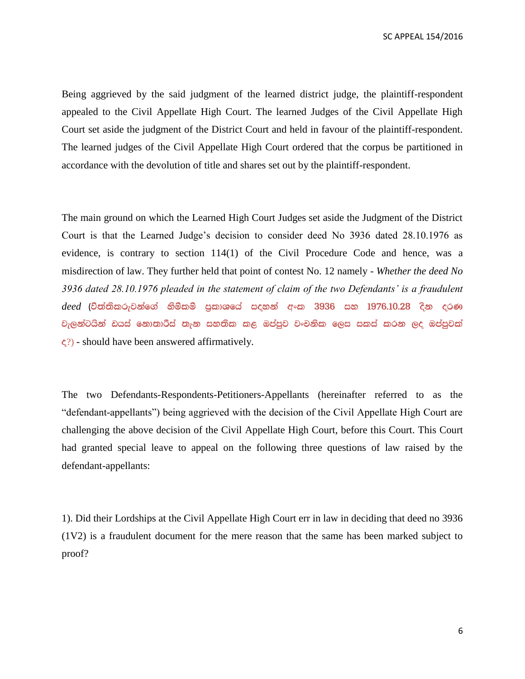Being aggrieved by the said judgment of the learned district judge, the plaintiff-respondent appealed to the Civil Appellate High Court. The learned Judges of the Civil Appellate High Court set aside the judgment of the District Court and held in favour of the plaintiff-respondent. The learned judges of the Civil Appellate High Court ordered that the corpus be partitioned in accordance with the devolution of title and shares set out by the plaintiff-respondent.

The main ground on which the Learned High Court Judges set aside the Judgment of the District Court is that the Learned Judge's decision to consider deed No 3936 dated 28.10.1976 as evidence, is contrary to section 114(1) of the Civil Procedure Code and hence, was a misdirection of law. They further held that point of contest No. 12 namely - *Whether the deed No 3936 dated 28.10.1976 pleaded in the statement of claim of the two Defendants' is a fraudulent deed* (විත්තිකරුවන්ගේ හිමිකම් පුකාශයේ සදහන් අංක 3936 සහ 1976.10.28 දින දරණ වැලන්ටයින් ඩයස් නොතාරීස් තැන සහතික කළ ඔප්පුව වංචනික ලෙස සකස් කරන ලද ඔප්පුවක්  $\zeta$ ?) - should have been answered affirmatively.

The two Defendants-Respondents-Petitioners-Appellants (hereinafter referred to as the "defendant-appellants") being aggrieved with the decision of the Civil Appellate High Court are challenging the above decision of the Civil Appellate High Court, before this Court. This Court had granted special leave to appeal on the following three questions of law raised by the defendant-appellants:

1). Did their Lordships at the Civil Appellate High Court err in law in deciding that deed no 3936 (1V2) is a fraudulent document for the mere reason that the same has been marked subject to proof?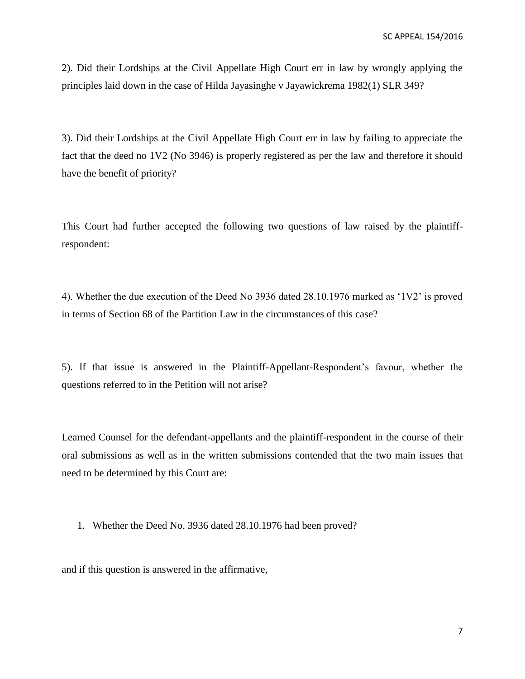2). Did their Lordships at the Civil Appellate High Court err in law by wrongly applying the principles laid down in the case of Hilda Jayasinghe v Jayawickrema 1982(1) SLR 349?

3). Did their Lordships at the Civil Appellate High Court err in law by failing to appreciate the fact that the deed no 1V2 (No 3946) is properly registered as per the law and therefore it should have the benefit of priority?

This Court had further accepted the following two questions of law raised by the plaintiffrespondent:

4). Whether the due execution of the Deed No 3936 dated 28.10.1976 marked as '1V2' is proved in terms of Section 68 of the Partition Law in the circumstances of this case?

5). If that issue is answered in the Plaintiff-Appellant-Respondent's favour, whether the questions referred to in the Petition will not arise?

Learned Counsel for the defendant-appellants and the plaintiff-respondent in the course of their oral submissions as well as in the written submissions contended that the two main issues that need to be determined by this Court are:

1. Whether the Deed No. 3936 dated 28.10.1976 had been proved?

and if this question is answered in the affirmative,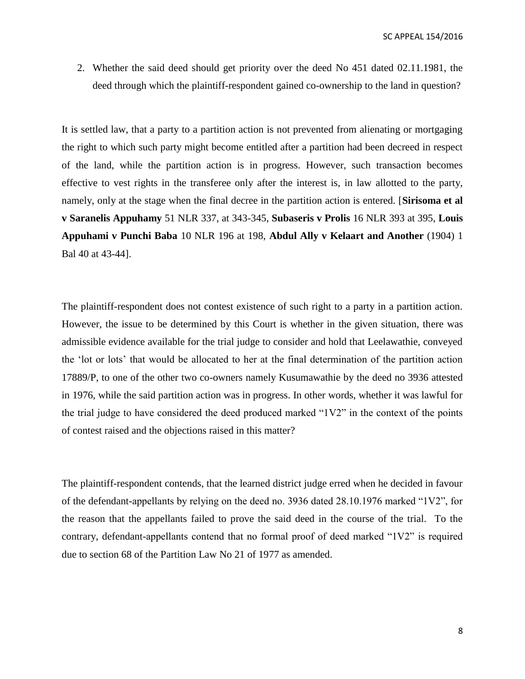2. Whether the said deed should get priority over the deed No 451 dated 02.11.1981, the deed through which the plaintiff-respondent gained co-ownership to the land in question?

It is settled law, that a party to a partition action is not prevented from alienating or mortgaging the right to which such party might become entitled after a partition had been decreed in respect of the land, while the partition action is in progress. However, such transaction becomes effective to vest rights in the transferee only after the interest is, in law allotted to the party, namely, only at the stage when the final decree in the partition action is entered. [**Sirisoma et al v Saranelis Appuhamy** 51 NLR 337, at 343-345, **Subaseris v Prolis** 16 NLR 393 at 395, **Louis Appuhami v Punchi Baba** 10 NLR 196 at 198, **Abdul Ally v Kelaart and Another** (1904) 1 Bal 40 at 43-44].

The plaintiff-respondent does not contest existence of such right to a party in a partition action. However, the issue to be determined by this Court is whether in the given situation, there was admissible evidence available for the trial judge to consider and hold that Leelawathie, conveyed the 'lot or lots' that would be allocated to her at the final determination of the partition action 17889/P, to one of the other two co-owners namely Kusumawathie by the deed no 3936 attested in 1976, while the said partition action was in progress. In other words, whether it was lawful for the trial judge to have considered the deed produced marked "1V2" in the context of the points of contest raised and the objections raised in this matter?

The plaintiff-respondent contends, that the learned district judge erred when he decided in favour of the defendant-appellants by relying on the deed no. 3936 dated 28.10.1976 marked "1V2", for the reason that the appellants failed to prove the said deed in the course of the trial. To the contrary, defendant-appellants contend that no formal proof of deed marked "1V2" is required due to section 68 of the Partition Law No 21 of 1977 as amended.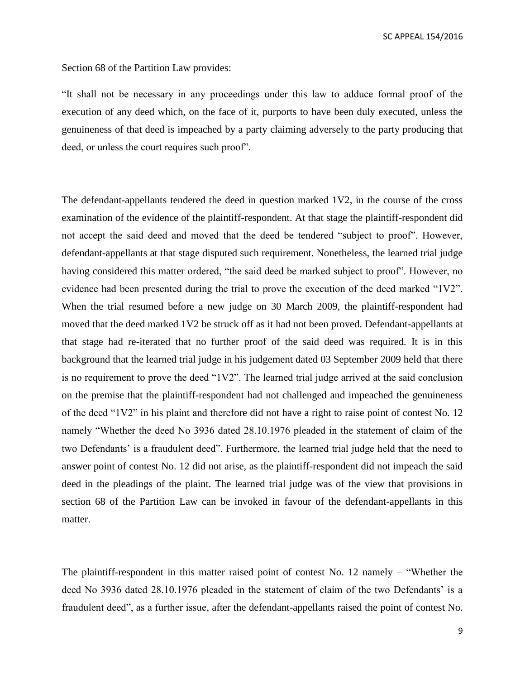Section 68 of the Partition Law provides:

"It shall not be necessary in any proceedings under this law to adduce formal proof of the execution of any deed which, on the face of it, purports to have been duly executed, unless the genuineness of that deed is impeached by a party claiming adversely to the party producing that deed, or unless the court requires such proof".

The defendant-appellants tendered the deed in question marked 1V2, in the course of the cross examination of the evidence of the plaintiff-respondent. At that stage the plaintiff-respondent did not accept the said deed and moved that the deed be tendered "subject to proof". However, defendant-appellants at that stage disputed such requirement. Nonetheless, the learned trial judge having considered this matter ordered, "the said deed be marked subject to proof". However, no evidence had been presented during the trial to prove the execution of the deed marked "1V2". When the trial resumed before a new judge on 30 March 2009, the plaintiff-respondent had moved that the deed marked 1V2 be struck off as it had not been proved. Defendant-appellants at that stage had re-iterated that no further proof of the said deed was required. It is in this background that the learned trial judge in his judgement dated 03 September 2009 held that there is no requirement to prove the deed "1V2". The learned trial judge arrived at the said conclusion on the premise that the plaintiff-respondent had not challenged and impeached the genuineness of the deed "1V2" in his plaint and therefore did not have a right to raise point of contest No. 12 namely "Whether the deed No 3936 dated 28.10.1976 pleaded in the statement of claim of the two Defendants' is a fraudulent deed". Furthermore, the learned trial judge held that the need to answer point of contest No. 12 did not arise, as the plaintiff-respondent did not impeach the said deed in the pleadings of the plaint. The learned trial judge was of the view that provisions in section 68 of the Partition Law can be invoked in favour of the defendant-appellants in this matter.

The plaintiff-respondent in this matter raised point of contest No. 12 namely – "Whether the deed No 3936 dated 28.10.1976 pleaded in the statement of claim of the two Defendants' is a fraudulent deed", as a further issue, after the defendant-appellants raised the point of contest No.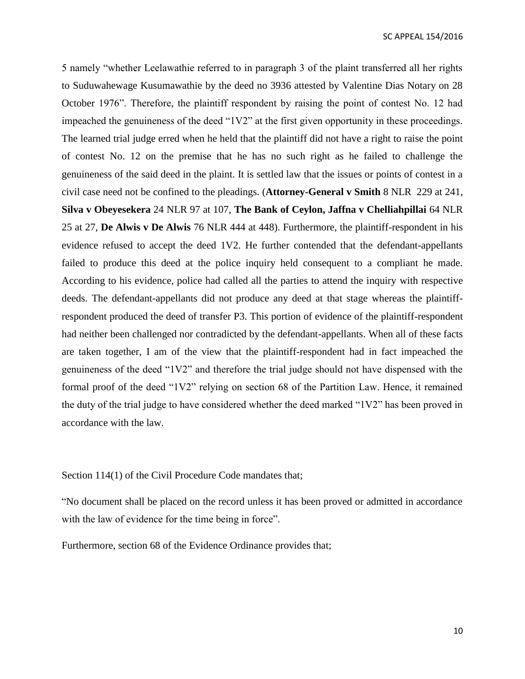5 namely "whether Leelawathie referred to in paragraph 3 of the plaint transferred all her rights to Suduwahewage Kusumawathie by the deed no 3936 attested by Valentine Dias Notary on 28 October 1976". Therefore, the plaintiff respondent by raising the point of contest No. 12 had impeached the genuineness of the deed "1V2" at the first given opportunity in these proceedings. The learned trial judge erred when he held that the plaintiff did not have a right to raise the point of contest No. 12 on the premise that he has no such right as he failed to challenge the genuineness of the said deed in the plaint. It is settled law that the issues or points of contest in a civil case need not be confined to the pleadings. (**Attorney-General v Smith** 8 NLR 229 at 241, **Silva v Obeyesekera** 24 NLR 97 at 107, **The Bank of Ceylon, Jaffna v Chelliahpillai** 64 NLR 25 at 27, **De Alwis v De Alwis** 76 NLR 444 at 448). Furthermore, the plaintiff-respondent in his evidence refused to accept the deed 1V2. He further contended that the defendant-appellants failed to produce this deed at the police inquiry held consequent to a compliant he made. According to his evidence, police had called all the parties to attend the inquiry with respective deeds. The defendant-appellants did not produce any deed at that stage whereas the plaintiffrespondent produced the deed of transfer P3. This portion of evidence of the plaintiff-respondent had neither been challenged nor contradicted by the defendant-appellants. When all of these facts are taken together, I am of the view that the plaintiff-respondent had in fact impeached the genuineness of the deed "1V2" and therefore the trial judge should not have dispensed with the formal proof of the deed "1V2" relying on section 68 of the Partition Law. Hence, it remained the duty of the trial judge to have considered whether the deed marked "1V2" has been proved in accordance with the law.

Section 114(1) of the Civil Procedure Code mandates that;

"No document shall be placed on the record unless it has been proved or admitted in accordance with the law of evidence for the time being in force".

Furthermore, section 68 of the Evidence Ordinance provides that;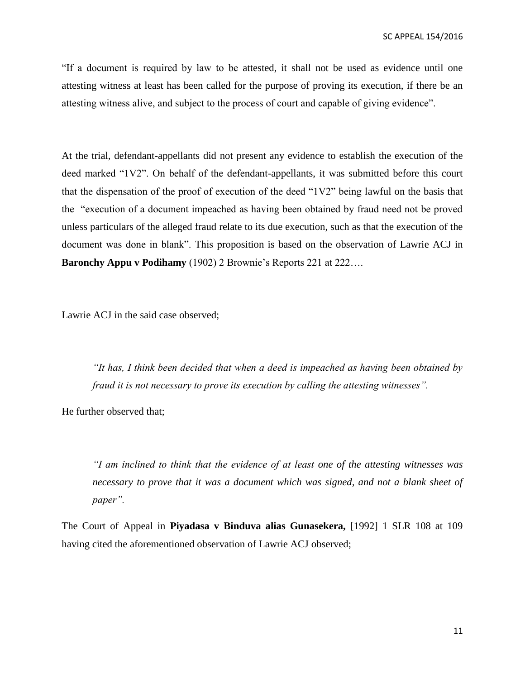"If a document is required by law to be attested, it shall not be used as evidence until one attesting witness at least has been called for the purpose of proving its execution, if there be an attesting witness alive, and subject to the process of court and capable of giving evidence".

At the trial, defendant-appellants did not present any evidence to establish the execution of the deed marked "1V2". On behalf of the defendant-appellants, it was submitted before this court that the dispensation of the proof of execution of the deed "1V2" being lawful on the basis that the "execution of a document impeached as having been obtained by fraud need not be proved unless particulars of the alleged fraud relate to its due execution, such as that the execution of the document was done in blank". This proposition is based on the observation of Lawrie ACJ in **Baronchy Appu v Podihamy** (1902) 2 Brownie's Reports 221 at 222….

Lawrie ACJ in the said case observed;

*"It has, I think been decided that when a deed is impeached as having been obtained by fraud it is not necessary to prove its execution by calling the attesting witnesses".* 

He further observed that;

*"I am inclined to think that the evidence of at least one of the attesting witnesses was necessary to prove that it was a document which was signed, and not a blank sheet of paper".* 

The Court of Appeal in **Piyadasa v Binduva alias Gunasekera,** [1992] 1 SLR 108 at 109 having cited the aforementioned observation of Lawrie ACJ observed;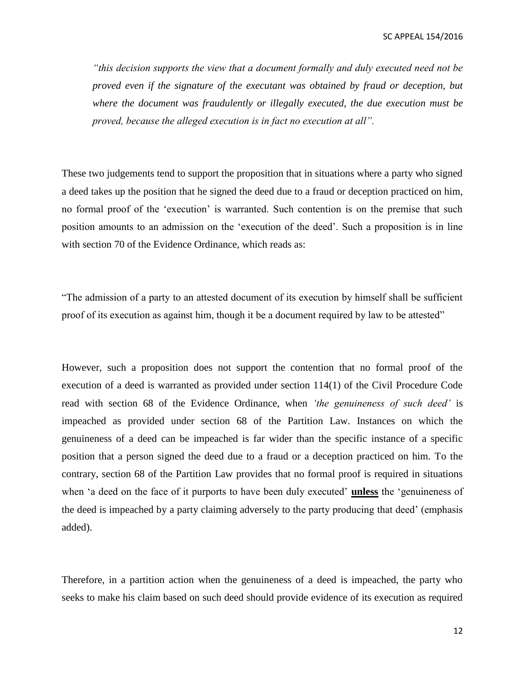*"this decision supports the view that a document formally and duly executed need not be proved even if the signature of the executant was obtained by fraud or deception, but where the document was fraudulently or illegally executed, the due execution must be proved, because the alleged execution is in fact no execution at all".*

These two judgements tend to support the proposition that in situations where a party who signed a deed takes up the position that he signed the deed due to a fraud or deception practiced on him, no formal proof of the 'execution' is warranted. Such contention is on the premise that such position amounts to an admission on the 'execution of the deed'. Such a proposition is in line with section 70 of the Evidence Ordinance, which reads as:

"The admission of a party to an attested document of its execution by himself shall be sufficient proof of its execution as against him, though it be a document required by law to be attested"

However, such a proposition does not support the contention that no formal proof of the execution of a deed is warranted as provided under section 114(1) of the Civil Procedure Code read with section 68 of the Evidence Ordinance, when *'the genuineness of such deed'* is impeached as provided under section 68 of the Partition Law. Instances on which the genuineness of a deed can be impeached is far wider than the specific instance of a specific position that a person signed the deed due to a fraud or a deception practiced on him. To the contrary, section 68 of the Partition Law provides that no formal proof is required in situations when 'a deed on the face of it purports to have been duly executed' **unless** the 'genuineness of the deed is impeached by a party claiming adversely to the party producing that deed' (emphasis added).

Therefore, in a partition action when the genuineness of a deed is impeached, the party who seeks to make his claim based on such deed should provide evidence of its execution as required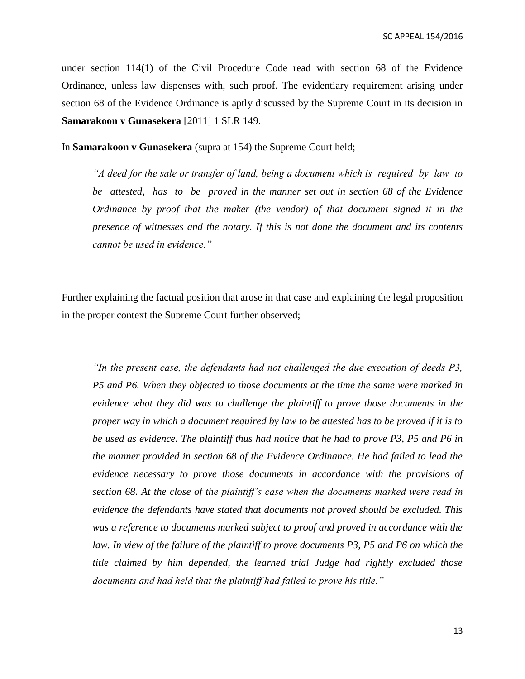under section 114(1) of the Civil Procedure Code read with section 68 of the Evidence Ordinance, unless law dispenses with, such proof. The evidentiary requirement arising under section 68 of the Evidence Ordinance is aptly discussed by the Supreme Court in its decision in **Samarakoon v Gunasekera** [2011] 1 SLR 149.

In **Samarakoon v Gunasekera** (supra at 154) the Supreme Court held;

*"A deed for the sale or transfer of land, being a document which is required by law to be attested, has to be proved in the manner set out in section 68 of the Evidence Ordinance by proof that the maker (the vendor) of that document signed it in the presence of witnesses and the notary. If this is not done the document and its contents cannot be used in evidence."*

Further explaining the factual position that arose in that case and explaining the legal proposition in the proper context the Supreme Court further observed;

*"In the present case, the defendants had not challenged the due execution of deeds P3, P5 and P6. When they objected to those documents at the time the same were marked in evidence what they did was to challenge the plaintiff to prove those documents in the proper way in which a document required by law to be attested has to be proved if it is to be used as evidence. The plaintiff thus had notice that he had to prove P3, P5 and P6 in the manner provided in section 68 of the Evidence Ordinance. He had failed to lead the evidence necessary to prove those documents in accordance with the provisions of section 68. At the close of the plaintiff's case when the documents marked were read in evidence the defendants have stated that documents not proved should be excluded. This was a reference to documents marked subject to proof and proved in accordance with the*  law. In view of the failure of the plaintiff to prove documents P3, P5 and P6 on which the *title claimed by him depended, the learned trial Judge had rightly excluded those documents and had held that the plaintiff had failed to prove his title."*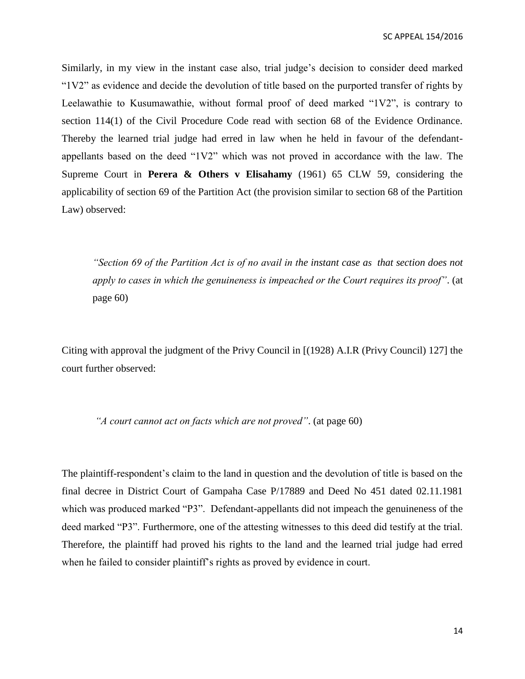Similarly, in my view in the instant case also, trial judge's decision to consider deed marked "1V2" as evidence and decide the devolution of title based on the purported transfer of rights by Leelawathie to Kusumawathie, without formal proof of deed marked "1V2", is contrary to section 114(1) of the Civil Procedure Code read with section 68 of the Evidence Ordinance. Thereby the learned trial judge had erred in law when he held in favour of the defendantappellants based on the deed "1V2" which was not proved in accordance with the law. The Supreme Court in **Perera & Others v Elisahamy** (1961) 65 CLW 59, considering the applicability of section 69 of the Partition Act (the provision similar to section 68 of the Partition Law) observed:

*"Section 69 of the Partition Act is of no avail in the instant case as that section does not apply to cases in which the genuineness is impeached or the Court requires its proof"*. (at page 60)

Citing with approval the judgment of the Privy Council in [(1928) A.I.R (Privy Council) 127] the court further observed:

*"A court cannot act on facts which are not proved"*. (at page 60)

The plaintiff-respondent's claim to the land in question and the devolution of title is based on the final decree in District Court of Gampaha Case P/17889 and Deed No 451 dated 02.11.1981 which was produced marked "P3". Defendant-appellants did not impeach the genuineness of the deed marked "P3". Furthermore, one of the attesting witnesses to this deed did testify at the trial. Therefore, the plaintiff had proved his rights to the land and the learned trial judge had erred when he failed to consider plaintiff's rights as proved by evidence in court.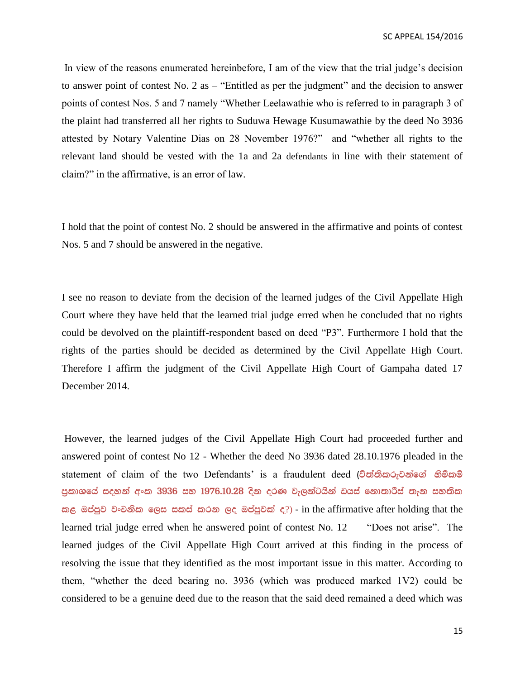In view of the reasons enumerated hereinbefore, I am of the view that the trial judge's decision to answer point of contest No. 2 as – "Entitled as per the judgment" and the decision to answer points of contest Nos. 5 and 7 namely "Whether Leelawathie who is referred to in paragraph 3 of the plaint had transferred all her rights to Suduwa Hewage Kusumawathie by the deed No 3936 attested by Notary Valentine Dias on 28 November 1976?" and "whether all rights to the relevant land should be vested with the 1a and 2a defendants in line with their statement of claim?" in the affirmative, is an error of law.

I hold that the point of contest No. 2 should be answered in the affirmative and points of contest Nos. 5 and 7 should be answered in the negative.

I see no reason to deviate from the decision of the learned judges of the Civil Appellate High Court where they have held that the learned trial judge erred when he concluded that no rights could be devolved on the plaintiff-respondent based on deed "P3". Furthermore I hold that the rights of the parties should be decided as determined by the Civil Appellate High Court. Therefore I affirm the judgment of the Civil Appellate High Court of Gampaha dated 17 December 2014.

However, the learned judges of the Civil Appellate High Court had proceeded further and answered point of contest No 12 - Whether the deed No 3936 dated 28.10.1976 pleaded in the statement of claim of the two Defendants' is a fraudulent deed (ච්ත්තිකරුවන්ගේ නිම්කම් පුකාශයේ සදහන් අංක 3936 සහ 1976.10.28 දින දරණ වැලන්ටයින් ඩයස් නොතාරීස් තැන සහතික කළ ඔප්පුව වංචනික ලෙස සකස් කරන ලද ඔප්පුවක් ද $?$ ) - in the affirmative after holding that the learned trial judge erred when he answered point of contest No. 12 – "Does not arise". The learned judges of the Civil Appellate High Court arrived at this finding in the process of resolving the issue that they identified as the most important issue in this matter. According to them, "whether the deed bearing no. 3936 (which was produced marked 1V2) could be considered to be a genuine deed due to the reason that the said deed remained a deed which was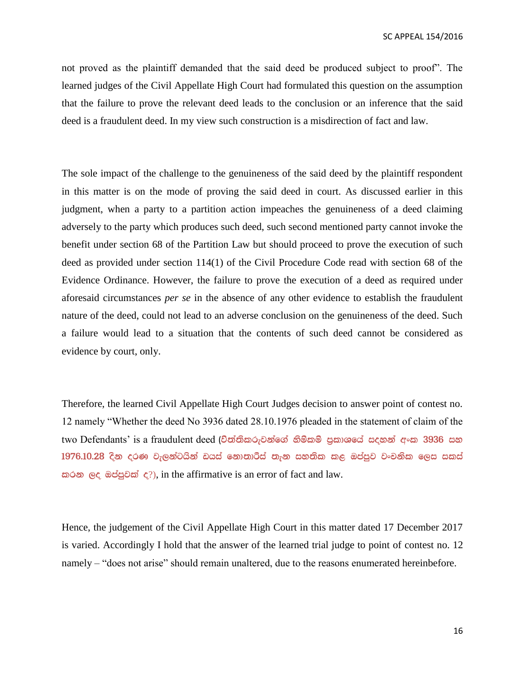not proved as the plaintiff demanded that the said deed be produced subject to proof". The learned judges of the Civil Appellate High Court had formulated this question on the assumption that the failure to prove the relevant deed leads to the conclusion or an inference that the said deed is a fraudulent deed. In my view such construction is a misdirection of fact and law.

The sole impact of the challenge to the genuineness of the said deed by the plaintiff respondent in this matter is on the mode of proving the said deed in court. As discussed earlier in this judgment, when a party to a partition action impeaches the genuineness of a deed claiming adversely to the party which produces such deed, such second mentioned party cannot invoke the benefit under section 68 of the Partition Law but should proceed to prove the execution of such deed as provided under section 114(1) of the Civil Procedure Code read with section 68 of the Evidence Ordinance. However, the failure to prove the execution of a deed as required under aforesaid circumstances *per se* in the absence of any other evidence to establish the fraudulent nature of the deed, could not lead to an adverse conclusion on the genuineness of the deed. Such a failure would lead to a situation that the contents of such deed cannot be considered as evidence by court, only.

Therefore, the learned Civil Appellate High Court Judges decision to answer point of contest no. 12 namely "Whether the deed No 3936 dated 28.10.1976 pleaded in the statement of claim of the two Defendants' is a fraudulent deed (විත්තිකරුවන්ගේ හිමිකම් පුකාශයේ සදහන් අංක 3936 සහ  $1976.10.28$  දින දරණ වැලන්ටයින් ඩයස් නොතාරීස් තැන සහතික කළ ඔප්පුව වංචනික ලෙස සකස්  $\omega$   $\alpha$   $\alpha$   $\beta$   $\alpha$   $\beta$   $\beta$   $\beta$   $\gamma$ ), in the affirmative is an error of fact and law.

Hence, the judgement of the Civil Appellate High Court in this matter dated 17 December 2017 is varied. Accordingly I hold that the answer of the learned trial judge to point of contest no. 12 namely – "does not arise" should remain unaltered, due to the reasons enumerated hereinbefore.